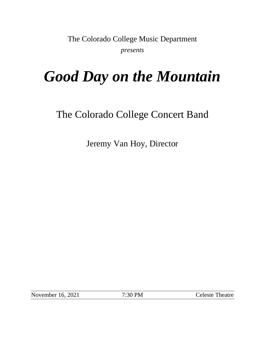The Colorado College Music Department *presents*

# *Good Day on the Mountain*

The Colorado College Concert Band

Jeremy Van Hoy, Director

November 16, 2021 7:30 PM Celeste Theatre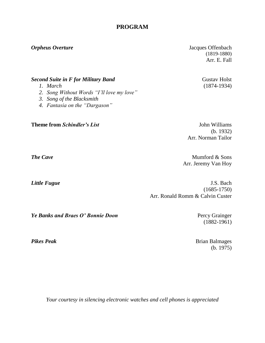# **PROGRAM**

*Orpheus Overture* Jacques Offenbach (1819-1880) Arr. E. Fall

## **Second Suite in F for Military Band Gustav Holst Gustav Holst**

- 
- *2. Song Without Words "I'll love my love"*
- *3. Song of the Blacksmith*
- *4. Fantasia on the "Dargason"*

**Theme from** *Schindler's List*John Williams

(b. 1932) Arr. Norman Tailor

*The Cave* **Mumford & Sons** Arr. Jeremy Van Hoy

*Little Fugue* J.S. Bach (1685-1750) Arr. Ronald Romm & Calvin Custer

*Ye Banks and Braes O' Bonnie Doon* Percy Grainger

(1882-1961)

*Pikes Peak* Brian Balmages (b. 1975)

*Your courtesy in silencing electronic watches and cell phones is appreciated*

*1. March* (1874-1934)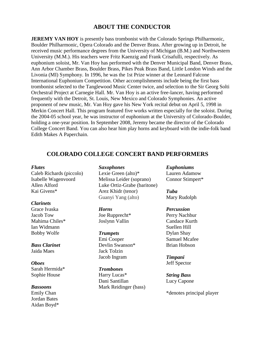# **ABOUT THE CONDUCTOR**

**JEREMY VAN HOY** is presently bass trombonist with the Colorado Springs Philharmonic, Boulder Philharmonic, Opera Colorado and the Denver Brass. After growing up in Detroit, he received music performance degrees from the University of Michigan (B.M.) and Northwestern University (M.M.). His teachers were Fritz Kaenzig and Frank Crisafulli, respectively. As euphonium soloist, Mr. Van Hoy has performed with the Denver Municipal Band, Denver Brass, Ann Arbor Chamber Brass, Boulder Brass, Pikes Peak Brass Band, Little London Winds and the Livonia (MI) Symphony. In 1996, he was the 1st Prize winner at the Leonard Falcone International Euphonium Competition. Other accomplishments include being the first bass trombonist selected to the Tanglewood Music Center twice, and selection to the Sir Georg Solti Orchestral Project at Carnegie Hall. Mr. Van Hoy is an active free-lancer, having performed frequently with the Detroit, St. Louis, New Mexico and Colorado Symphonies. An active proponent of new music, Mr. Van Hoy gave his New York recital debut on April 5, 1998 in Merkin Concert Hall. This program featured five works written especially for the soloist. During the 2004-05 school year, he was instructor of euphonium at the University of Colorado-Boulder, holding a one-year position. In September 2008, Jeremy became the director of the Colorado College Concert Band. You can also hear him play horns and keyboard with the indie-folk band Edith Makes A Paperchain.

# **COLORADO COLLEGE CONCERT BAND PERFORMERS**

#### *Flutes*

Caleb Richards (piccolo) Isabelle Wagenvoord Allen Alford Kai Givens\*

### *Clarinets*

Grace Ivaska Jacob Tow Mahima Chiles\* Ian Widmann Bobby Wolfe

*Bass Clarinet* Jaida Maes

*Oboes* Sarah Hermida\* Sophie House

#### *Bassoons*

Emily Chan Jordan Bates Aidan Boyd\*

#### *Saxophones*

Lexie Green (alto)\* Melissa Leider (soprano) Luke Ortiz-Grabe (baritone) Arez Khidr (tenor) Guanyi Yang (alto)

*Horns* Joe Rupprecht\* Joslynn Vallin

*Trumpets* Emi Cooper Devlin Swanson\* Jack Tolzin Jacob Ingram

*Trombones* Harry Lucas\* Dani Santillan Mark Reidinger (bass) *Euphoniums* Lauren Adamow Connor Stimpert\*

*Tuba* Mary Rudolph

*Percussion* Perry Nachbur Candace Kurth Suellen Hill Dylan Shay Samuel Mcafee Brian Hobson

*Timpani* Jeff Spector

*String Bass* Lucy Capone

\*denotes principal player